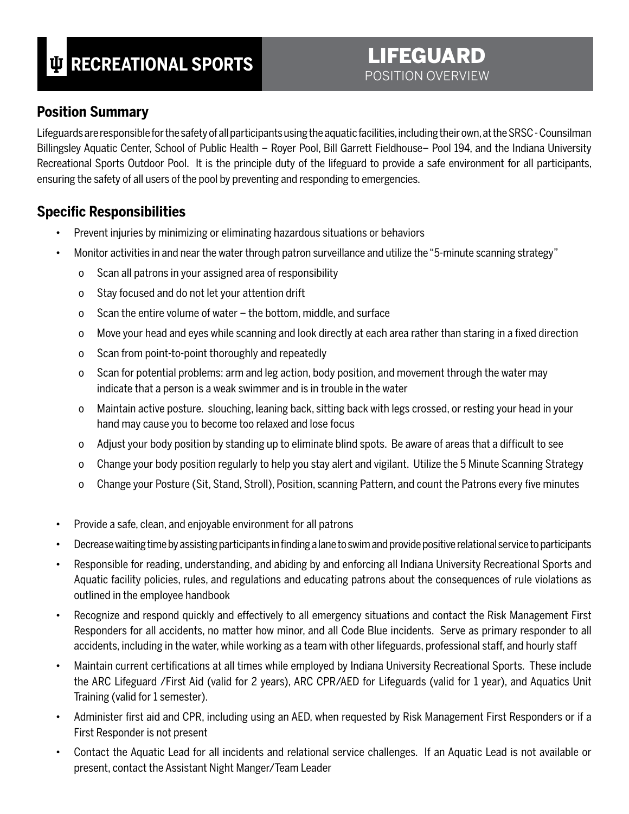# **RECREATIONAL SPORTS**

# LIFEGUARD POSITION OVERVIEW

### **Position Summary**

Lifeguards are responsible for the safety of all participants using the aquatic facilities, including their own, at the SRSC - Counsilman Billingsley Aquatic Center, School of Public Health – Royer Pool, Bill Garrett Fieldhouse– Pool 194, and the Indiana University Recreational Sports Outdoor Pool. It is the principle duty of the lifeguard to provide a safe environment for all participants, ensuring the safety of all users of the pool by preventing and responding to emergencies.

#### **Specific Responsibilities**

- Prevent injuries by minimizing or eliminating hazardous situations or behaviors
- Monitor activities in and near the water through patron surveillance and utilize the "5-minute scanning strategy"
	- o Scan all patrons in your assigned area of responsibility
	- o Stay focused and do not let your attention drift
	- o Scan the entire volume of water the bottom, middle, and surface
	- o Move your head and eyes while scanning and look directly at each area rather than staring in a fixed direction
	- o Scan from point-to-point thoroughly and repeatedly
	- o Scan for potential problems: arm and leg action, body position, and movement through the water may indicate that a person is a weak swimmer and is in trouble in the water
	- o Maintain active posture. slouching, leaning back, sitting back with legs crossed, or resting your head in your hand may cause you to become too relaxed and lose focus
	- o Adjust your body position by standing up to eliminate blind spots. Be aware of areas that a difficult to see
	- o Change your body position regularly to help you stay alert and vigilant. Utilize the 5 Minute Scanning Strategy
	- o Change your Posture (Sit, Stand, Stroll), Position, scanning Pattern, and count the Patrons every five minutes
- Provide a safe, clean, and enjoyable environment for all patrons
- Decrease waiting time by assisting participants in finding a lane to swim and provide positive relational service to participants
- Responsible for reading, understanding, and abiding by and enforcing all Indiana University Recreational Sports and Aquatic facility policies, rules, and regulations and educating patrons about the consequences of rule violations as outlined in the employee handbook
- Recognize and respond quickly and effectively to all emergency situations and contact the Risk Management First Responders for all accidents, no matter how minor, and all Code Blue incidents. Serve as primary responder to all accidents, including in the water, while working as a team with other lifeguards, professional staff, and hourly staff
- Maintain current certifications at all times while employed by Indiana University Recreational Sports. These include the ARC Lifeguard /First Aid (valid for 2 years), ARC CPR/AED for Lifeguards (valid for 1 year), and Aquatics Unit Training (valid for 1 semester).
- Administer first aid and CPR, including using an AED, when requested by Risk Management First Responders or if a First Responder is not present
- Contact the Aquatic Lead for all incidents and relational service challenges. If an Aquatic Lead is not available or present, contact the Assistant Night Manger/Team Leader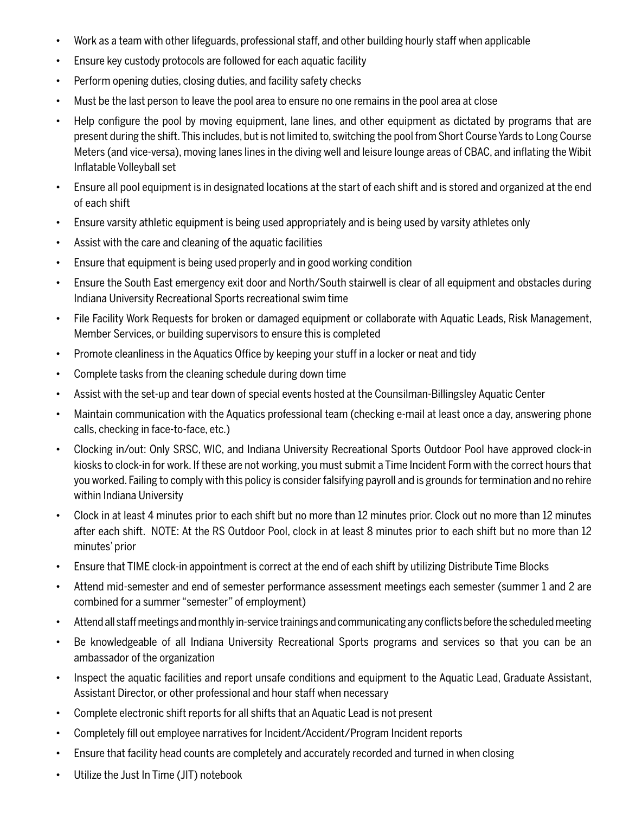- Work as a team with other lifeguards, professional staff, and other building hourly staff when applicable
- Ensure key custody protocols are followed for each aquatic facility
- Perform opening duties, closing duties, and facility safety checks
- Must be the last person to leave the pool area to ensure no one remains in the pool area at close
- Help configure the pool by moving equipment, lane lines, and other equipment as dictated by programs that are present during the shift. This includes, but is not limited to, switching the pool from Short Course Yards to Long Course Meters (and vice-versa), moving lanes lines in the diving well and leisure lounge areas of CBAC, and inflating the Wibit Inflatable Volleyball set
- Ensure all pool equipment is in designated locations at the start of each shift and is stored and organized at the end of each shift
- Ensure varsity athletic equipment is being used appropriately and is being used by varsity athletes only
- Assist with the care and cleaning of the aquatic facilities
- Ensure that equipment is being used properly and in good working condition
- Ensure the South East emergency exit door and North/South stairwell is clear of all equipment and obstacles during Indiana University Recreational Sports recreational swim time
- File Facility Work Requests for broken or damaged equipment or collaborate with Aquatic Leads, Risk Management, Member Services, or building supervisors to ensure this is completed
- Promote cleanliness in the Aquatics Office by keeping your stuff in a locker or neat and tidy
- Complete tasks from the cleaning schedule during down time
- Assist with the set-up and tear down of special events hosted at the Counsilman-Billingsley Aquatic Center
- Maintain communication with the Aquatics professional team (checking e-mail at least once a day, answering phone calls, checking in face-to-face, etc.)
- Clocking in/out: Only SRSC, WIC, and Indiana University Recreational Sports Outdoor Pool have approved clock-in kiosks to clock-in for work. If these are not working, you must submit a Time Incident Form with the correct hours that you worked. Failing to comply with this policy is consider falsifying payroll and is grounds for termination and no rehire within Indiana University
- Clock in at least 4 minutes prior to each shift but no more than 12 minutes prior. Clock out no more than 12 minutes after each shift. NOTE: At the RS Outdoor Pool, clock in at least 8 minutes prior to each shift but no more than 12 minutes' prior
- Ensure that TIME clock-in appointment is correct at the end of each shift by utilizing Distribute Time Blocks
- Attend mid-semester and end of semester performance assessment meetings each semester (summer 1 and 2 are combined for a summer "semester" of employment)
- Attend all staff meetings and monthly in-service trainings and communicating any conflicts before the scheduled meeting
- Be knowledgeable of all Indiana University Recreational Sports programs and services so that you can be an ambassador of the organization
- Inspect the aquatic facilities and report unsafe conditions and equipment to the Aquatic Lead, Graduate Assistant, Assistant Director, or other professional and hour staff when necessary
- Complete electronic shift reports for all shifts that an Aquatic Lead is not present
- Completely fill out employee narratives for Incident/Accident/Program Incident reports
- Ensure that facility head counts are completely and accurately recorded and turned in when closing
- Utilize the Just In Time (JIT) notebook